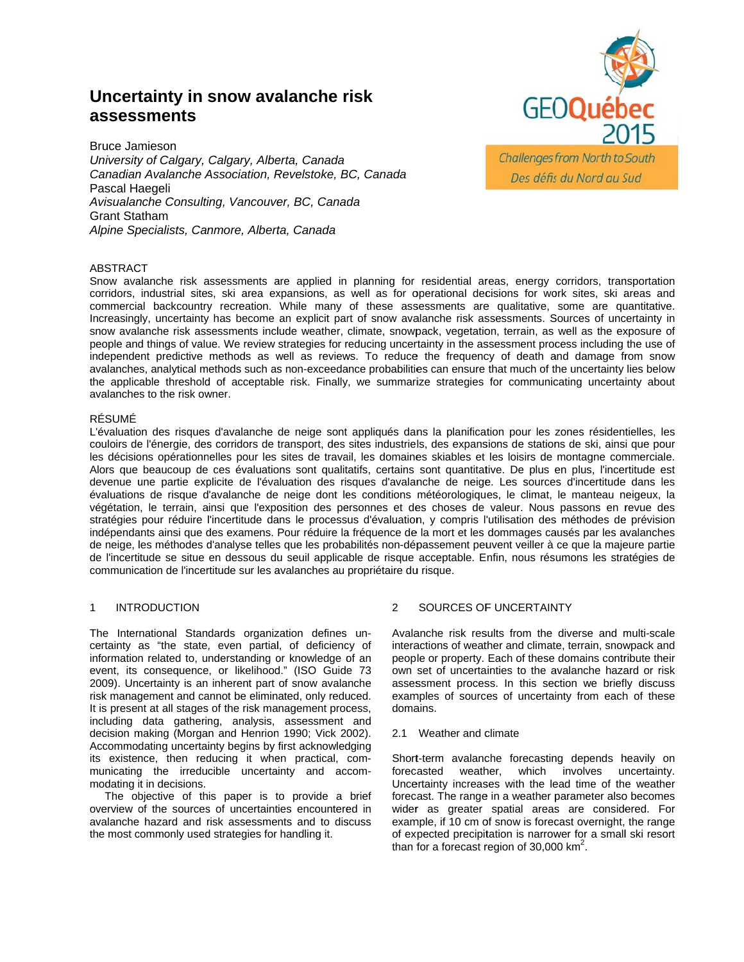# Uncertainty in snow avalanche risk assessments



**Bruce Jamieson** University of Calgary, Calgary, Alberta, Canada Canadian Avalanche Association, Revelstoke, BC, Canada Pascal Haegeli Avisualanche Consulting, Vancouver, BC, Canada **Grant Statham** Alpine Specialists, Canmore, Alberta, Canada

# **ABSTRACT**

Snow avalanche risk assessments are applied in planning for residential areas, energy corridors, transportation corridors, industrial sites, ski area expansions, as well as for operational decisions for work sites, ski areas and commercial backcountry recreation. While many of these assessments are qualitative, some are quantitative. Increasingly, uncertainty has become an explicit part of snow avalanche risk assessments. Sources of uncertainty in snow avalanche risk assessments include weather, climate, snowpack, vegetation, terrain, as well as the exposure of people and things of value. We review strategies for reducing uncertainty in the assessment process including the use of independent predictive methods as well as reviews. To reduce the frequency of death and damage from snow avalanches, analytical methods such as non-exceedance probabilities can ensure that much of the uncertainty lies below the applicable threshold of acceptable risk. Finally, we summarize strategies for communicating uncertainty about avalanches to the risk owner.

# **RÉSUMÉ**

L'évaluation des risques d'avalanche de neige sont appliqués dans la planification pour les zones résidentielles, les couloirs de l'énergie, des corridors de transport, des sites industriels, des expansions de stations de ski, ainsi que pour les décisions opérationnelles pour les sites de travail, les domaines skiables et les loisirs de montagne commerciale. Alors que beaucoup de ces évaluations sont qualitatifs, certains sont quantitative. De plus en plus, l'incertitude est devenue une partie explicite de l'évaluation des risques d'avalanche de neige. Les sources d'incertitude dans les évaluations de risque d'avalanche de neige dont les conditions météorologiques, le climat, le manteau neigeux, la végétation, le terrain, ainsi que l'exposition des personnes et des choses de valeur. Nous passons en revue des stratégies pour réduire l'incertitude dans le processus d'évaluation, y compris l'utilisation des méthodes de prévision indépendants ainsi que des examens. Pour réduire la fréquence de la mort et les dommages causés par les avalanches de neige, les méthodes d'analyse telles que les probabilités non-dépassement peuvent veiller à ce que la majeure partie de l'incertitude se situe en dessous du seuil applicable de risque acceptable. Enfin, nous résumons les stratégies de communication de l'incertitude sur les avalanches au propriétaire du risque.

#### $\mathbf{1}$ **INTRODUCTION**

The International Standards organization defines uncertainty as "the state, even partial, of deficiency of information related to, understanding or knowledge of an event. its consequence, or likelihood." (ISO Guide 73 2009). Uncertainty is an inherent part of snow avalanche risk management and cannot be eliminated, only reduced. It is present at all stages of the risk management process, including data gathering, analysis, assessment and decision making (Morgan and Henrion 1990; Vick 2002). Accommodating uncertainty begins by first acknowledging its existence, then reducing it when practical, communicating the irreducible uncertainty and accommodating it in decisions.

The objective of this paper is to provide a brief overview of the sources of uncertainties encountered in avalanche hazard and risk assessments and to discuss the most commonly used strategies for handling it.

#### $\overline{2}$ SOURCES OF UNCERTAINTY

Avalanche risk results from the diverse and multi-scale interactions of weather and climate, terrain, snowpack and people or property. Each of these domains contribute their own set of uncertainties to the avalanche hazard or risk assessment process. In this section we briefly discuss examples of sources of uncertainty from each of these domains.

### 2.1 Weather and climate

Short-term avalanche forecasting depends heavily on involves uncertainty. forecasted weather. which Uncertainty increases with the lead time of the weather forecast. The range in a weather parameter also becomes wider as greater spatial areas are considered. For example, if 10 cm of snow is forecast overnight, the range of expected precipitation is narrower for a small ski resort than for a forecast region of 30,000  $km^2$ .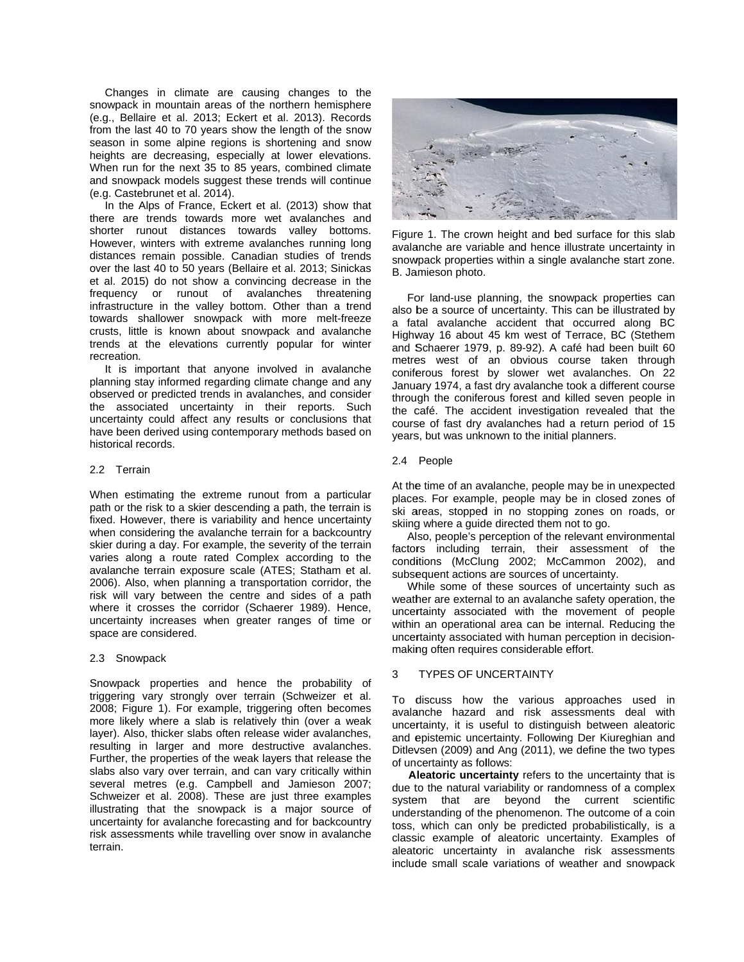Changes in climate are causing changes to the snowpack in mountain areas of the northern hemisphere (e.g., Bellaire et al. 2013; Eckert et al. 2013). Records from the last 40 to 70 years show the length of the snow season in some alpine regions is shortening and snow heights are decreasing, especially at lower elevations. When run for the next 3 35 to 85 years , combined cli mate and snowpack models suggest these trends will continue (e.g. Castebrunet et al. 2014).

In the Alps of France, Eckert et al. (2013) show that there are trends towards more wet avalanches and shorter runout distances towards valley bottoms. However, winters with extreme avalanches running long distances remain possible. Canadian studies of trends over the last 40 to 50 years (Bellaire et al. 2013; Sinickas et al. 2015) do not show a convincing decrease in the frequency or runout of avalanches threatening infrastructure in the valley bottom. Other than a trend towards shallower snowpack with more melt-freeze crusts, little is known about snowpack and avalanche trends at the elevations currently popular for winter recreation .

It is important that anyone involved in avalanche planning stay informed regarding climate change and any observed or predicted trends in avalanches, and consider the associated uncertainty in their reports. Such uncertainty could affect any results or conclusions that have been derived using contemporary methods based on historical records.

### 2.2 Terrain

When estimating the extreme runout from a particular path or the risk to a skier descending a path, the terrain is fixed. However, there is variability and hence uncertainty when considering the avalanche terrain for a backcountry skier during a day. For example, the severity of the terrain varies along a route rated Complex according to the avalanche terrain exposure scale (ATES; Statham et al. 2006). Also, when planning a transportation corridor, the risk will vary between the centre and sides of a path where it crosses the corridor (Schaerer 1989). Hence, uncertainty increases when greater ranges of time or space are considered.

### 2.3 Snowpack

Snowpack properties and hence the probability of triggering vary strongly over terrain (Schweizer et al. 2008; Figure 1). For example, triggering often becomes more likely where a slab is relatively thin (over a weak layer). Also, thicker slabs often release wider avalanches, resulting in larger and more destructive avalanches. Further, the properties of the weak layers that release the slabs also vary over terrain, and can vary critically within several metres (e.g. Campbell and Jamieson 2007; Schweizer et al. 2008). These are just three examples illustrating that the snowpack is a major source of uncertainty for avalanche forecasting and for backcountry risk assessments while travelling over snow in avalanche terrain.



Figure 1. The crown height and bed surface for this slab avalanche are variable and hence illustrate uncertainty in snowpack properties within a single avalanche start zone. B. Ja amieson photo.

For land-use planning, the snowpack properties can also be a source of uncertainty. This can be illustrated by a fatal avalanche accident that occurred along BC Highway 16 about 45 km west of Terrace, BC (Stethem and Schaerer 1979, p. 89-92). A café had been built 60 metres west of an obvious course taken through coniferous forest by slower wet avalanches. On 22 January 1974, a fast dry avalanche took a different course through the coniferous forest and killed seven people in the café. The accident investigation revealed that the course of fast dry avalanches had a return period of 15 years, but was unknown to the initial planners.

# 2.4 People

At the time of an avalanche, people may be in unexpected places. For example, people may be in closed zones of ski areas, stopped in no stopping zones on roads, or skiing g where a guid e directed them m not to go.

Also, people's perception of the relevant environmental factors including terrain, their assessment of the conditions (McClung 2002; McCammon 2002), and subsequent actions are sources of uncertainty.

While some of these sources of uncertainty such as weather are external to an avalanche safety operation, the uncertainty associated with the movement of people within an operational area can be internal. Reducing the uncertainty associated with human perception in decisionmaking often requires considerable effort.

#### 3 TYPES OF UN NCERTAINTY

To d discuss how the various approaches used in avala anche hazard and risk a assessments deal with uncertainty, it is useful to distinguish between aleatoric and epistemic uncertainty. Following Der Kiureghian and Ditlevsen (2009) and Ang (2011), we define the two types of uncertainty as follows:

Aleatoric uncertainty refers to the uncertainty that is due to the natural variability or randomness of a complex system that are beyond the current scientific understanding of the phenomenon. The outcome of a coin toss, which can only be predicted probabilistically, is a classic example of aleatoric uncertainty. Examples of aleatoric uncertainty in avalanche risk assessments include small scale variations of weather and snowpack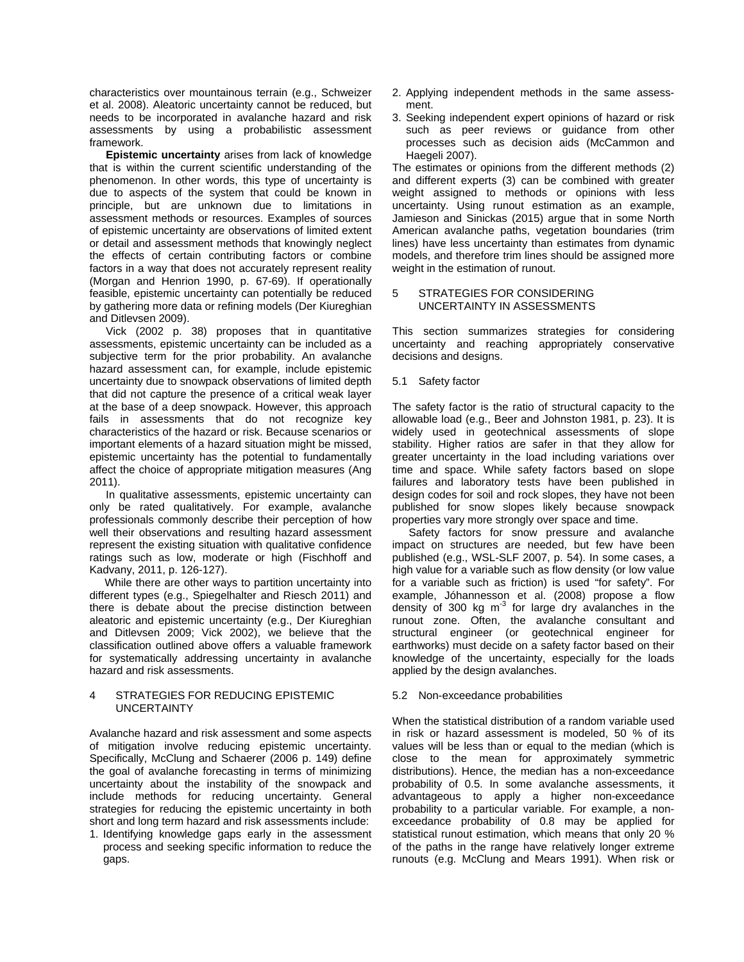characteristics over mountainous terrain (e.g., Schweizer et al. 2008). Aleatoric uncertainty cannot be reduced, but needs to be incorporated in avalanche hazard and risk assessments by using a probabilistic assessment framework.

**Epistemic uncertainty** arises from lack of knowledge that is within the current scientific understanding of the phenomenon. In other words, this type of uncertainty is due to aspects of the system that could be known in principle, but are unknown due to limitations in assessment methods or resources. Examples of sources of epistemic uncertainty are observations of limited extent or detail and assessment methods that knowingly neglect the effects of certain contributing factors or combine factors in a way that does not accurately represent reality (Morgan and Henrion 1990, p. 67-69). If operationally feasible, epistemic uncertainty can potentially be reduced by gathering more data or refining models (Der Kiureghian and Ditlevsen 2009).

Vick (2002 p. 38) proposes that in quantitative assessments, epistemic uncertainty can be included as a subjective term for the prior probability. An avalanche hazard assessment can, for example, include epistemic uncertainty due to snowpack observations of limited depth that did not capture the presence of a critical weak layer at the base of a deep snowpack. However, this approach fails in assessments that do not recognize key characteristics of the hazard or risk. Because scenarios or important elements of a hazard situation might be missed, epistemic uncertainty has the potential to fundamentally affect the choice of appropriate mitigation measures (Ang 2011).

In qualitative assessments, epistemic uncertainty can only be rated qualitatively. For example, avalanche professionals commonly describe their perception of how well their observations and resulting hazard assessment represent the existing situation with qualitative confidence ratings such as low, moderate or high (Fischhoff and Kadvany, 2011, p. 126-127).

 While there are other ways to partition uncertainty into different types (e.g., Spiegelhalter and Riesch 2011) and there is debate about the precise distinction between aleatoric and epistemic uncertainty (e.g., Der Kiureghian and Ditlevsen 2009; Vick 2002), we believe that the classification outlined above offers a valuable framework for systematically addressing uncertainty in avalanche hazard and risk assessments.

# 4 STRATEGIES FOR REDUCING EPISTEMIC UNCERTAINTY

Avalanche hazard and risk assessment and some aspects of mitigation involve reducing epistemic uncertainty. Specifically, McClung and Schaerer (2006 p. 149) define the goal of avalanche forecasting in terms of minimizing uncertainty about the instability of the snowpack and include methods for reducing uncertainty. General strategies for reducing the epistemic uncertainty in both short and long term hazard and risk assessments include:

1. Identifying knowledge gaps early in the assessment process and seeking specific information to reduce the gaps.

- 2. Applying independent methods in the same assessment.
- 3. Seeking independent expert opinions of hazard or risk such as peer reviews or guidance from other processes such as decision aids (McCammon and Haegeli 2007).

The estimates or opinions from the different methods (2) and different experts (3) can be combined with greater weight assigned to methods or opinions with less uncertainty. Using runout estimation as an example, Jamieson and Sinickas (2015) argue that in some North American avalanche paths, vegetation boundaries (trim lines) have less uncertainty than estimates from dynamic models, and therefore trim lines should be assigned more weight in the estimation of runout.

# 5 STRATEGIES FOR CONSIDERING UNCERTAINTY IN ASSESSMENTS

This section summarizes strategies for considering uncertainty and reaching appropriately conservative decisions and designs.

5.1 Safety factor

The safety factor is the ratio of structural capacity to the allowable load (e.g., Beer and Johnston 1981, p. 23). It is widely used in geotechnical assessments of slope stability. Higher ratios are safer in that they allow for greater uncertainty in the load including variations over time and space. While safety factors based on slope failures and laboratory tests have been published in design codes for soil and rock slopes, they have not been published for snow slopes likely because snowpack properties vary more strongly over space and time.

Safety factors for snow pressure and avalanche impact on structures are needed, but few have been published (e.g., WSL-SLF 2007, p. 54). In some cases, a high value for a variable such as flow density (or low value for a variable such as friction) is used "for safety". For example, Jóhannesson et al. (2008) propose a flow density of 300 kg  $m<sup>-3</sup>$  for large dry avalanches in the runout zone. Often, the avalanche consultant and structural engineer (or geotechnical engineer for earthworks) must decide on a safety factor based on their knowledge of the uncertainty, especially for the loads applied by the design avalanches.

# 5.2 Non-exceedance probabilities

When the statistical distribution of a random variable used in risk or hazard assessment is modeled, 50 % of its values will be less than or equal to the median (which is close to the mean for approximately symmetric distributions). Hence, the median has a non-exceedance probability of 0.5. In some avalanche assessments, it advantageous to apply a higher non-exceedance probability to a particular variable. For example, a nonexceedance probability of 0.8 may be applied for statistical runout estimation, which means that only 20 % of the paths in the range have relatively longer extreme runouts (e.g. McClung and Mears 1991). When risk or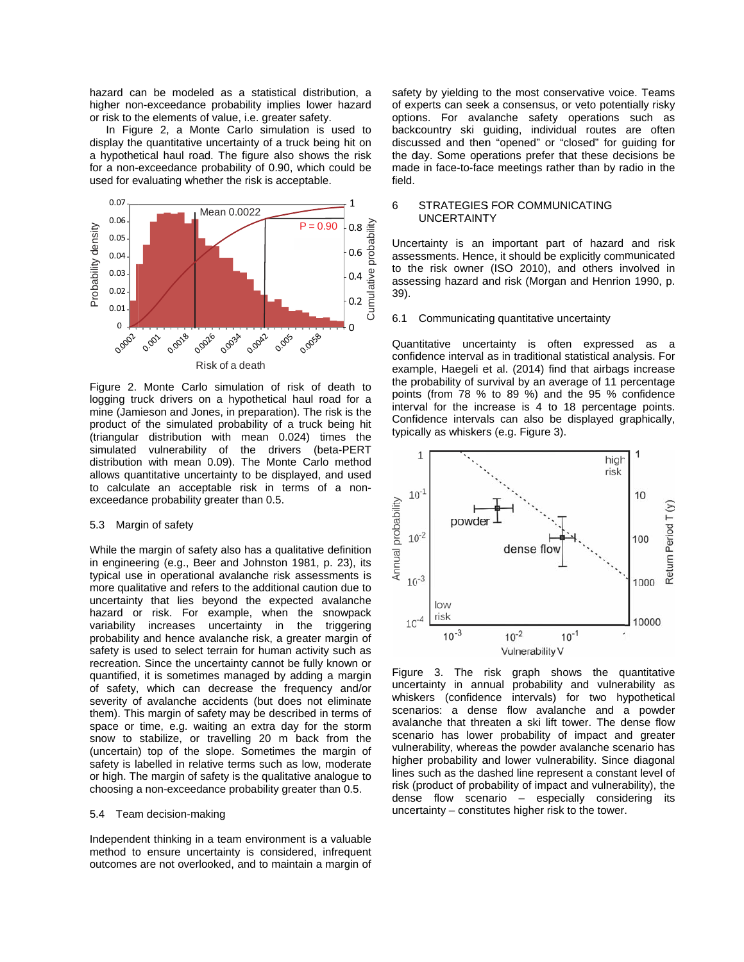hazard can be modeled as a statistical distribution, a higher non-exceedance probability implies lower hazard or risk to the elements of value, i.e. greater safety.

In Figure 2, a Monte Carlo simulation is used to display the quantitative uncertainty of a truck being hit on a hypothetical haul road. The figure also shows the risk for a non-exceedance probability of 0.90, which could be used for evaluating whether the risk is acceptable.



Figure 2. Monte Carlo simulation of risk of death to logging truck drivers on a hypothetical haul road for a mine (Jamieson and Jones, in preparation). The risk is the product of the simulated probability of a truck being hit (triangular distribution with mean 0.024) times the simulated vulnerability of the drivers (beta-PERT distribution with mean 0.09). The Monte Carlo method allows quantitative uncertainty to be displayed, and used to calculate an acceptable risk in terms of a nonexceedance probability greater than 0.5.

#### 5.3 Margin of safety

While the margin of safety also has a qualitative definition in engineering (e.g., Beer and Johnston 1981, p. 23), its typical use in operational avalanche risk assessments is more qualitative and refers to the additional caution due to uncertainty that lies beyond the expected avalanche hazard or risk. For example, when the snowpack variability increases uncertainty in the triggering probability and hence avalanche risk, a greater margin of safety is used to select terrain for human activity such as recreation. Since the uncertainty cannot be fully known or quantified, it is sometimes managed by adding a margin of safety, which can decrease the frequency and/or severity of avalanche accidents (but does not eliminate them). This margin of safety may be described in terms of space or time, e.g. waiting an extra day for the storm snow to stabilize, or travelling 20 m back from the (uncertain) top of the slope. Sometimes the margin of safety is labelled in relative terms such as low, moderate or high. The margin of safety is the qualitative analogue to choosing a non-exceedance probability greater than 0.5.

### 5.4 Team decision-making

Independent thinking in a team environment is a valuable method to ensure uncertainty is considered, infrequent outcomes are not overlooked, and to maintain a margin of

safety by yielding to the most conservative voice. Teams of experts can seek a consensus, or veto potentially risky options. For avalanche safety operations such as backcountry ski guiding, individual routes are often discussed and then "opened" or "closed" for guiding for the day. Some operations prefer that these decisions be made in face-to-face meetings rather than by radio in the field.

#### 6 **STRATEGIES FOR COMMUNICATING UNCERTAINTY**

Uncertainty is an important part of hazard and risk assessments. Hence, it should be explicitly communicated to the risk owner (ISO 2010), and others involved in assessing hazard and risk (Morgan and Henrion 1990, p. 39).

#### $6.1$ Communicating quantitative uncertainty

Quantitative uncertainty is often expressed as a confidence interval as in traditional statistical analysis. For example, Haegeli et al. (2014) find that airbags increase the probability of survival by an average of 11 percentage points (from 78 % to 89 %) and the 95 % confidence interval for the increase is 4 to 18 percentage points. Confidence intervals can also be displayed graphically, typically as whiskers (e.g. Figure 3).



Figure 3. The risk graph shows the quantitative uncertainty in annual probability and vulnerability as whiskers (confidence intervals) for two hypothetical scenarios: a dense flow avalanche and a powder avalanche that threaten a ski lift tower. The dense flow scenario has lower probability of impact and greater vulnerability, whereas the powder avalanche scenario has higher probability and lower vulnerability. Since diagonal lines such as the dashed line represent a constant level of risk (product of probability of impact and vulnerability), the dense flow scenario - especially considering its uncertainty - constitutes higher risk to the tower.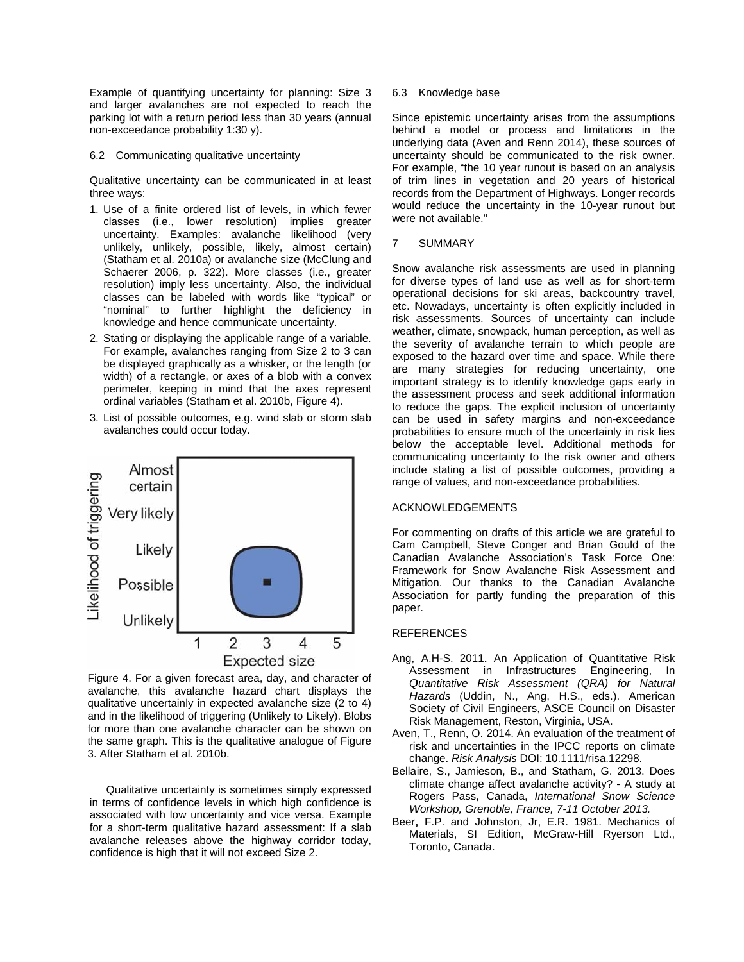Example of quantifying uncertainty for planning: Size 3 and larger avalanches are not expected to reach the parking lot with a return period less than 30 years (annual non-exceedance probability 1:30 y).

6.2 Communicating qualitative uncertainty

Qualitative uncertainty can be communicated in at least three ways:

- 1. Use of a finite ordered list of levels, in which fewer classes (i.e., lower resolution) implies greater uncertainty. Examples: avalanche likelihood (very unlikely, unlikely, possible, likely, almost certain) (Statham et al. 2010a) or avalanche size (McClung and Schaerer 2006, p. 322). More classes (i.e., greater resolution) imply less uncertainty. Also, the individual classes can be labeled with words like "typical" or "nominal" to further highlight the deficiency in knowledge and hence communicate uncertainty.
- 2. Stating or displaying the applicable range of a variable. For example, avalanches ranging from Size 2 to 3 can be displayed graphically as a whisker, or the length (or width) of a rectangle, or axes of a blob with a convex perimeter, keeping in mind that the axes represent ordinal variables (Statham et al. 2010b, Figure 4).
- 3. List of possible outcomes, e.g. wind slab or storm slab avalanches could occur today.



Figure 4. For a given forecast area, day, and character of avalanche, this avalanche hazard chart displays the qualitative uncertainly in expected avalanche size (2 to 4) and in the likelihood of triggering (Unlikely to Likely). Blobs for more than one avalanche character can be shown on the same graph. This is the qualitative analogue of Figure 3. After Statham et al. 2010b.

Qualitative uncertainty is sometimes simply expressed in terms of confidence levels in which high confidence is associated with low uncertainty and vice versa. Example for a short-term qualitative hazard assessment: If a slab avalanche releases above the highway corridor today, confidence is high that it will not exceed Size 2.

### 6.3 Knowledge base

Since epistemic uncertainty arises from the assumptions behind a model or process and limitations in the underlying data (Aven and Renn 2014), these sources of uncertainty should be communicated to the risk owner. For example, "the 10 year runout is based on an analysis of trim lines in vegetation and 20 years of historical records from the Department of Highways. Longer records would reduce the uncertainty in the 10-year runout but were not available."

#### $\overline{7}$ **SUMMARY**

Snow avalanche risk assessments are used in planning for diverse types of land use as well as for short-term operational decisions for ski areas, backcountry travel, etc. Nowadays, uncertainty is often explicitly included in risk assessments. Sources of uncertainty can include weather, climate, snowpack, human perception, as well as the severity of avalanche terrain to which people are exposed to the hazard over time and space. While there are many strategies for reducing uncertainty, one important strategy is to identify knowledge gaps early in the assessment process and seek additional information to reduce the gaps. The explicit inclusion of uncertainty can be used in safety margins and non-exceedance probabilities to ensure much of the uncertainly in risk lies below the acceptable level. Additional methods for communicating uncertainty to the risk owner and others include stating a list of possible outcomes, providing a range of values, and non-exceedance probabilities.

# **ACKNOWLEDGEMENTS**

For commenting on drafts of this article we are grateful to Cam Campbell, Steve Conger and Brian Gould of the Canadian Avalanche Association's Task Force One: Framework for Snow Avalanche Risk Assessment and Mitigation. Our thanks to the Canadian Avalanche Association for partly funding the preparation of this paper.

### **REFERENCES**

- Ang, A.H-S. 2011. An Application of Quantitative Risk Assessment in Infrastructures Engineering. In Quantitative Risk Assessment (QRA) for Natural Hazards (Uddin, N., Ang, H.S., eds.). American Society of Civil Engineers, ASCE Council on Disaster Risk Management, Reston, Virginia, USA.
- Aven, T., Renn, O. 2014. An evaluation of the treatment of risk and uncertainties in the IPCC reports on climate change. Risk Analysis DOI: 10.1111/risa.12298.
- Bellaire, S., Jamieson, B., and Statham, G. 2013. Does climate change affect avalanche activity? - A study at Rogers Pass, Canada, International Snow Science Workshop, Grenoble, France, 7-11 October 2013.
- Beer, F.P. and Johnston, Jr, E.R. 1981. Mechanics of Materials, SI Edition, McGraw-Hill Ryerson Ltd., Toronto, Canada.